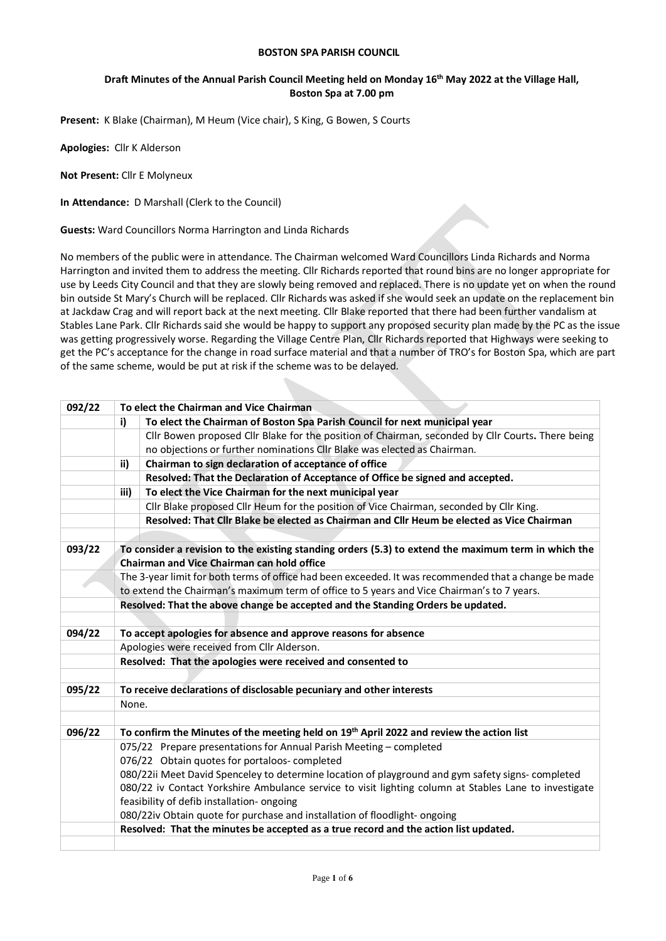#### **BOSTON SPA PARISH COUNCIL**

### **Draft Minutes of the Annual Parish Council Meeting held on Monday 16th May 2022 at the Village Hall, Boston Spa at 7.00 pm**

**Present:** K Blake (Chairman), M Heum (Vice chair), S King, G Bowen, S Courts

**Apologies:** Cllr K Alderson

**Not Present:** Cllr E Molyneux

**In Attendance:** D Marshall (Clerk to the Council)

**Guests:** Ward Councillors Norma Harrington and Linda Richards

No members of the public were in attendance. The Chairman welcomed Ward Councillors Linda Richards and Norma Harrington and invited them to address the meeting. Cllr Richards reported that round bins are no longer appropriate for use by Leeds City Council and that they are slowly being removed and replaced. There is no update yet on when the round bin outside St Mary's Church will be replaced. Cllr Richards was asked if she would seek an update on the replacement bin at Jackdaw Crag and will report back at the next meeting. Cllr Blake reported that there had been further vandalism at Stables Lane Park. Cllr Richards said she would be happy to support any proposed security plan made by the PC as the issue was getting progressively worse. Regarding the Village Centre Plan, Cllr Richards reported that Highways were seeking to get the PC's acceptance for the change in road surface material and that a number of TRO's for Boston Spa, which are part of the same scheme, would be put at risk if the scheme was to be delayed.

| 092/22 | To elect the Chairman and Vice Chairman                                                                                                            |                                                                                                       |  |  |
|--------|----------------------------------------------------------------------------------------------------------------------------------------------------|-------------------------------------------------------------------------------------------------------|--|--|
|        | i)                                                                                                                                                 | To elect the Chairman of Boston Spa Parish Council for next municipal year                            |  |  |
|        |                                                                                                                                                    | Cllr Bowen proposed Cllr Blake for the position of Chairman, seconded by Cllr Courts. There being     |  |  |
|        | no objections or further nominations Cllr Blake was elected as Chairman.                                                                           |                                                                                                       |  |  |
|        | ii)                                                                                                                                                | Chairman to sign declaration of acceptance of office                                                  |  |  |
|        | Resolved: That the Declaration of Acceptance of Office be signed and accepted.                                                                     |                                                                                                       |  |  |
|        | iii)                                                                                                                                               | To elect the Vice Chairman for the next municipal year                                                |  |  |
|        |                                                                                                                                                    | Cllr Blake proposed Cllr Heum for the position of Vice Chairman, seconded by Cllr King.               |  |  |
|        |                                                                                                                                                    | Resolved: That Cllr Blake be elected as Chairman and Cllr Heum be elected as Vice Chairman            |  |  |
|        |                                                                                                                                                    |                                                                                                       |  |  |
| 093/22 | To consider a revision to the existing standing orders (5.3) to extend the maximum term in which the<br>Chairman and Vice Chairman can hold office |                                                                                                       |  |  |
|        |                                                                                                                                                    | The 3-year limit for both terms of office had been exceeded. It was recommended that a change be made |  |  |
|        |                                                                                                                                                    | to extend the Chairman's maximum term of office to 5 years and Vice Chairman's to 7 years.            |  |  |
|        | Resolved: That the above change be accepted and the Standing Orders be updated.                                                                    |                                                                                                       |  |  |
|        |                                                                                                                                                    |                                                                                                       |  |  |
| 094/22 | To accept apologies for absence and approve reasons for absence                                                                                    |                                                                                                       |  |  |
|        | Apologies were received from Cllr Alderson.                                                                                                        |                                                                                                       |  |  |
|        | Resolved: That the apologies were received and consented to                                                                                        |                                                                                                       |  |  |
|        |                                                                                                                                                    |                                                                                                       |  |  |
| 095/22 |                                                                                                                                                    | To receive declarations of disclosable pecuniary and other interests                                  |  |  |
|        | None.                                                                                                                                              |                                                                                                       |  |  |
| 096/22 | To confirm the Minutes of the meeting held on 19th April 2022 and review the action list                                                           |                                                                                                       |  |  |
|        | 075/22 Prepare presentations for Annual Parish Meeting - completed                                                                                 |                                                                                                       |  |  |
|        |                                                                                                                                                    | 076/22 Obtain quotes for portaloos-completed                                                          |  |  |
|        |                                                                                                                                                    | 080/22ii Meet David Spenceley to determine location of playground and gym safety signs-completed      |  |  |
|        |                                                                                                                                                    | 080/22 iv Contact Yorkshire Ambulance service to visit lighting column at Stables Lane to investigate |  |  |
|        |                                                                                                                                                    | feasibility of defib installation- ongoing                                                            |  |  |
|        |                                                                                                                                                    | 080/22iv Obtain quote for purchase and installation of floodlight- ongoing                            |  |  |
|        |                                                                                                                                                    | Resolved: That the minutes be accepted as a true record and the action list updated.                  |  |  |
|        |                                                                                                                                                    |                                                                                                       |  |  |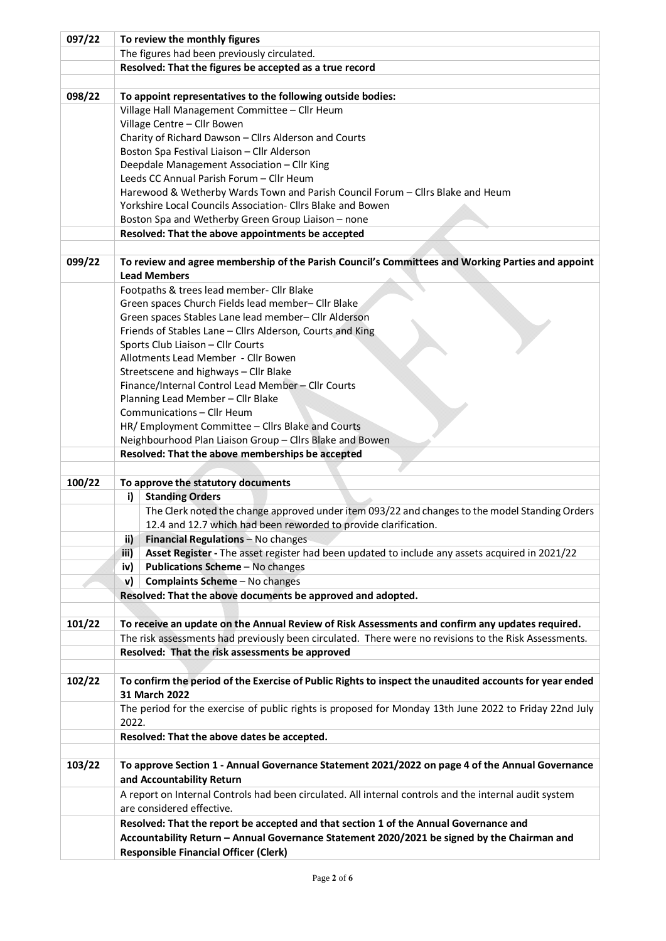| 097/22 | To review the monthly figures                                                                   |                                                                                                         |  |  |
|--------|-------------------------------------------------------------------------------------------------|---------------------------------------------------------------------------------------------------------|--|--|
|        | The figures had been previously circulated.                                                     |                                                                                                         |  |  |
|        | Resolved: That the figures be accepted as a true record                                         |                                                                                                         |  |  |
|        |                                                                                                 |                                                                                                         |  |  |
| 098/22 |                                                                                                 | To appoint representatives to the following outside bodies:                                             |  |  |
|        |                                                                                                 | Village Hall Management Committee - Cllr Heum                                                           |  |  |
|        |                                                                                                 | Village Centre - Cllr Bowen                                                                             |  |  |
|        | Charity of Richard Dawson - Cllrs Alderson and Courts                                           |                                                                                                         |  |  |
|        | Boston Spa Festival Liaison - Cllr Alderson                                                     |                                                                                                         |  |  |
|        | Deepdale Management Association - Cllr King                                                     |                                                                                                         |  |  |
|        | Leeds CC Annual Parish Forum - Cllr Heum                                                        |                                                                                                         |  |  |
|        | Harewood & Wetherby Wards Town and Parish Council Forum - Cllrs Blake and Heum                  |                                                                                                         |  |  |
|        |                                                                                                 | Yorkshire Local Councils Association- Cllrs Blake and Bowen                                             |  |  |
|        |                                                                                                 | Boston Spa and Wetherby Green Group Liaison - none                                                      |  |  |
|        |                                                                                                 | Resolved: That the above appointments be accepted                                                       |  |  |
|        |                                                                                                 |                                                                                                         |  |  |
| 099/22 |                                                                                                 | To review and agree membership of the Parish Council's Committees and Working Parties and appoint       |  |  |
|        |                                                                                                 | <b>Lead Members</b>                                                                                     |  |  |
|        |                                                                                                 | Footpaths & trees lead member- Cllr Blake                                                               |  |  |
|        |                                                                                                 | Green spaces Church Fields lead member- Cllr Blake                                                      |  |  |
|        |                                                                                                 | Green spaces Stables Lane lead member- Cllr Alderson                                                    |  |  |
|        |                                                                                                 | Friends of Stables Lane - Cllrs Alderson, Courts and King                                               |  |  |
|        |                                                                                                 | Sports Club Liaison - Cllr Courts                                                                       |  |  |
|        |                                                                                                 | Allotments Lead Member - Cllr Bowen                                                                     |  |  |
|        |                                                                                                 | Streetscene and highways - Cllr Blake                                                                   |  |  |
|        |                                                                                                 | Finance/Internal Control Lead Member - Cllr Courts                                                      |  |  |
|        |                                                                                                 | Planning Lead Member - Cllr Blake<br>Communications - Cllr Heum                                         |  |  |
|        |                                                                                                 | HR/ Employment Committee - Cllrs Blake and Courts                                                       |  |  |
|        |                                                                                                 |                                                                                                         |  |  |
|        | Neighbourhood Plan Liaison Group - Cllrs Blake and Bowen                                        |                                                                                                         |  |  |
|        | Resolved: That the above memberships be accepted                                                |                                                                                                         |  |  |
| 100/22 | To approve the statutory documents                                                              |                                                                                                         |  |  |
|        | <b>Standing Orders</b><br>i)                                                                    |                                                                                                         |  |  |
|        |                                                                                                 | The Clerk noted the change approved under item 093/22 and changes to the model Standing Orders          |  |  |
|        |                                                                                                 | 12.4 and 12.7 which had been reworded to provide clarification.                                         |  |  |
|        |                                                                                                 | Financial Regulations - No changes                                                                      |  |  |
|        | ii)<br>iii)                                                                                     | Asset Register - The asset register had been updated to include any assets acquired in 2021/22          |  |  |
|        |                                                                                                 | Publications Scheme - No changes                                                                        |  |  |
|        | iv)                                                                                             | Complaints Scheme - No changes                                                                          |  |  |
|        | v)                                                                                              |                                                                                                         |  |  |
|        | Resolved: That the above documents be approved and adopted.                                     |                                                                                                         |  |  |
| 101/22 |                                                                                                 | To receive an update on the Annual Review of Risk Assessments and confirm any updates required.         |  |  |
|        |                                                                                                 | The risk assessments had previously been circulated. There were no revisions to the Risk Assessments.   |  |  |
|        |                                                                                                 | Resolved: That the risk assessments be approved                                                         |  |  |
|        |                                                                                                 |                                                                                                         |  |  |
| 102/22 |                                                                                                 | To confirm the period of the Exercise of Public Rights to inspect the unaudited accounts for year ended |  |  |
|        |                                                                                                 | 31 March 2022                                                                                           |  |  |
|        |                                                                                                 | The period for the exercise of public rights is proposed for Monday 13th June 2022 to Friday 22nd July  |  |  |
|        | 2022.                                                                                           |                                                                                                         |  |  |
|        |                                                                                                 | Resolved: That the above dates be accepted.                                                             |  |  |
|        |                                                                                                 |                                                                                                         |  |  |
| 103/22 | To approve Section 1 - Annual Governance Statement 2021/2022 on page 4 of the Annual Governance |                                                                                                         |  |  |
|        |                                                                                                 | and Accountability Return                                                                               |  |  |
|        |                                                                                                 | A report on Internal Controls had been circulated. All internal controls and the internal audit system  |  |  |
|        |                                                                                                 | are considered effective.                                                                               |  |  |
|        |                                                                                                 | Resolved: That the report be accepted and that section 1 of the Annual Governance and                   |  |  |
|        |                                                                                                 | Accountability Return - Annual Governance Statement 2020/2021 be signed by the Chairman and             |  |  |
|        |                                                                                                 | <b>Responsible Financial Officer (Clerk)</b>                                                            |  |  |
|        |                                                                                                 |                                                                                                         |  |  |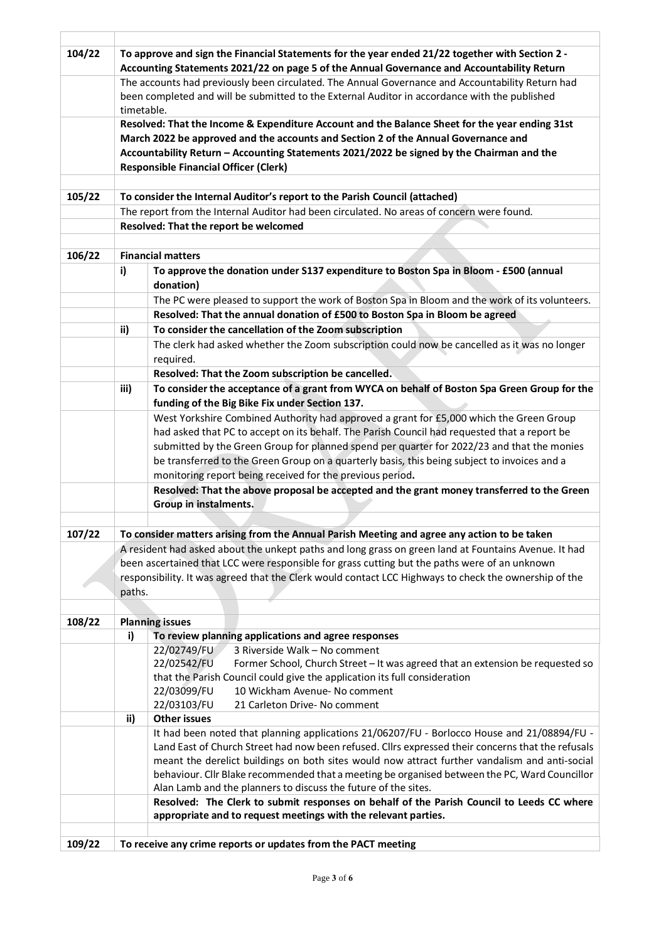| 104/22 | To approve and sign the Financial Statements for the year ended 21/22 together with Section 2 -                                                                                                                                                                                       |                                                                                                       |  |  |  |
|--------|---------------------------------------------------------------------------------------------------------------------------------------------------------------------------------------------------------------------------------------------------------------------------------------|-------------------------------------------------------------------------------------------------------|--|--|--|
|        | Accounting Statements 2021/22 on page 5 of the Annual Governance and Accountability Return                                                                                                                                                                                            |                                                                                                       |  |  |  |
|        |                                                                                                                                                                                                                                                                                       | The accounts had previously been circulated. The Annual Governance and Accountability Return had      |  |  |  |
|        |                                                                                                                                                                                                                                                                                       | been completed and will be submitted to the External Auditor in accordance with the published         |  |  |  |
|        | timetable.                                                                                                                                                                                                                                                                            |                                                                                                       |  |  |  |
|        | Resolved: That the Income & Expenditure Account and the Balance Sheet for the year ending 31st                                                                                                                                                                                        |                                                                                                       |  |  |  |
|        | March 2022 be approved and the accounts and Section 2 of the Annual Governance and                                                                                                                                                                                                    |                                                                                                       |  |  |  |
|        | Accountability Return - Accounting Statements 2021/2022 be signed by the Chairman and the                                                                                                                                                                                             |                                                                                                       |  |  |  |
|        |                                                                                                                                                                                                                                                                                       | <b>Responsible Financial Officer (Clerk)</b>                                                          |  |  |  |
|        |                                                                                                                                                                                                                                                                                       |                                                                                                       |  |  |  |
| 105/22 |                                                                                                                                                                                                                                                                                       | To consider the Internal Auditor's report to the Parish Council (attached)                            |  |  |  |
|        |                                                                                                                                                                                                                                                                                       | The report from the Internal Auditor had been circulated. No areas of concern were found.             |  |  |  |
|        |                                                                                                                                                                                                                                                                                       | Resolved: That the report be welcomed                                                                 |  |  |  |
|        |                                                                                                                                                                                                                                                                                       |                                                                                                       |  |  |  |
| 106/22 |                                                                                                                                                                                                                                                                                       | <b>Financial matters</b>                                                                              |  |  |  |
|        |                                                                                                                                                                                                                                                                                       |                                                                                                       |  |  |  |
|        | i)                                                                                                                                                                                                                                                                                    | To approve the donation under S137 expenditure to Boston Spa in Bloom - £500 (annual                  |  |  |  |
|        |                                                                                                                                                                                                                                                                                       | donation)                                                                                             |  |  |  |
|        |                                                                                                                                                                                                                                                                                       | The PC were pleased to support the work of Boston Spa in Bloom and the work of its volunteers.        |  |  |  |
|        |                                                                                                                                                                                                                                                                                       | Resolved: That the annual donation of £500 to Boston Spa in Bloom be agreed                           |  |  |  |
|        | ii)                                                                                                                                                                                                                                                                                   | To consider the cancellation of the Zoom subscription                                                 |  |  |  |
|        |                                                                                                                                                                                                                                                                                       | The clerk had asked whether the Zoom subscription could now be cancelled as it was no longer          |  |  |  |
|        |                                                                                                                                                                                                                                                                                       | required.                                                                                             |  |  |  |
|        |                                                                                                                                                                                                                                                                                       | Resolved: That the Zoom subscription be cancelled.                                                    |  |  |  |
|        | To consider the acceptance of a grant from WYCA on behalf of Boston Spa Green Group for the<br>iii)                                                                                                                                                                                   |                                                                                                       |  |  |  |
|        | funding of the Big Bike Fix under Section 137.                                                                                                                                                                                                                                        |                                                                                                       |  |  |  |
|        | West Yorkshire Combined Authority had approved a grant for £5,000 which the Green Group<br>had asked that PC to accept on its behalf. The Parish Council had requested that a report be<br>submitted by the Green Group for planned spend per quarter for 2022/23 and that the monies |                                                                                                       |  |  |  |
|        |                                                                                                                                                                                                                                                                                       |                                                                                                       |  |  |  |
|        |                                                                                                                                                                                                                                                                                       |                                                                                                       |  |  |  |
|        | be transferred to the Green Group on a quarterly basis, this being subject to invoices and a                                                                                                                                                                                          |                                                                                                       |  |  |  |
|        |                                                                                                                                                                                                                                                                                       | monitoring report being received for the previous period.                                             |  |  |  |
|        | Resolved: That the above proposal be accepted and the grant money transferred to the Green                                                                                                                                                                                            |                                                                                                       |  |  |  |
|        |                                                                                                                                                                                                                                                                                       | Group in instalments.                                                                                 |  |  |  |
|        |                                                                                                                                                                                                                                                                                       |                                                                                                       |  |  |  |
| 107/22 | To consider matters arising from the Annual Parish Meeting and agree any action to be taken                                                                                                                                                                                           |                                                                                                       |  |  |  |
|        |                                                                                                                                                                                                                                                                                       |                                                                                                       |  |  |  |
|        | A resident had asked about the unkept paths and long grass on green land at Fountains Avenue. It had<br>been ascertained that LCC were responsible for grass cutting but the paths were of an unknown                                                                                 |                                                                                                       |  |  |  |
|        |                                                                                                                                                                                                                                                                                       | responsibility. It was agreed that the Clerk would contact LCC Highways to check the ownership of the |  |  |  |
|        | paths.                                                                                                                                                                                                                                                                                |                                                                                                       |  |  |  |
|        |                                                                                                                                                                                                                                                                                       |                                                                                                       |  |  |  |
| 108/22 |                                                                                                                                                                                                                                                                                       | <b>Planning issues</b>                                                                                |  |  |  |
|        |                                                                                                                                                                                                                                                                                       | To review planning applications and agree responses                                                   |  |  |  |
|        | i)                                                                                                                                                                                                                                                                                    | 22/02749/FU<br>3 Riverside Walk - No comment                                                          |  |  |  |
|        |                                                                                                                                                                                                                                                                                       | 22/02542/FU<br>Former School, Church Street - It was agreed that an extension be requested so         |  |  |  |
|        |                                                                                                                                                                                                                                                                                       | that the Parish Council could give the application its full consideration                             |  |  |  |
|        |                                                                                                                                                                                                                                                                                       | 10 Wickham Avenue- No comment<br>22/03099/FU                                                          |  |  |  |
|        |                                                                                                                                                                                                                                                                                       | 22/03103/FU<br>21 Carleton Drive- No comment                                                          |  |  |  |
|        | ii)                                                                                                                                                                                                                                                                                   | <b>Other issues</b>                                                                                   |  |  |  |
|        |                                                                                                                                                                                                                                                                                       | It had been noted that planning applications 21/06207/FU - Borlocco House and 21/08894/FU -           |  |  |  |
|        |                                                                                                                                                                                                                                                                                       | Land East of Church Street had now been refused. Cllrs expressed their concerns that the refusals     |  |  |  |
|        |                                                                                                                                                                                                                                                                                       | meant the derelict buildings on both sites would now attract further vandalism and anti-social        |  |  |  |
|        |                                                                                                                                                                                                                                                                                       | behaviour. Cllr Blake recommended that a meeting be organised between the PC, Ward Councillor         |  |  |  |
|        |                                                                                                                                                                                                                                                                                       | Alan Lamb and the planners to discuss the future of the sites.                                        |  |  |  |
|        |                                                                                                                                                                                                                                                                                       | Resolved: The Clerk to submit responses on behalf of the Parish Council to Leeds CC where             |  |  |  |
|        |                                                                                                                                                                                                                                                                                       | appropriate and to request meetings with the relevant parties.                                        |  |  |  |
|        |                                                                                                                                                                                                                                                                                       |                                                                                                       |  |  |  |
| 109/22 |                                                                                                                                                                                                                                                                                       | To receive any crime reports or updates from the PACT meeting                                         |  |  |  |
|        |                                                                                                                                                                                                                                                                                       |                                                                                                       |  |  |  |

Ï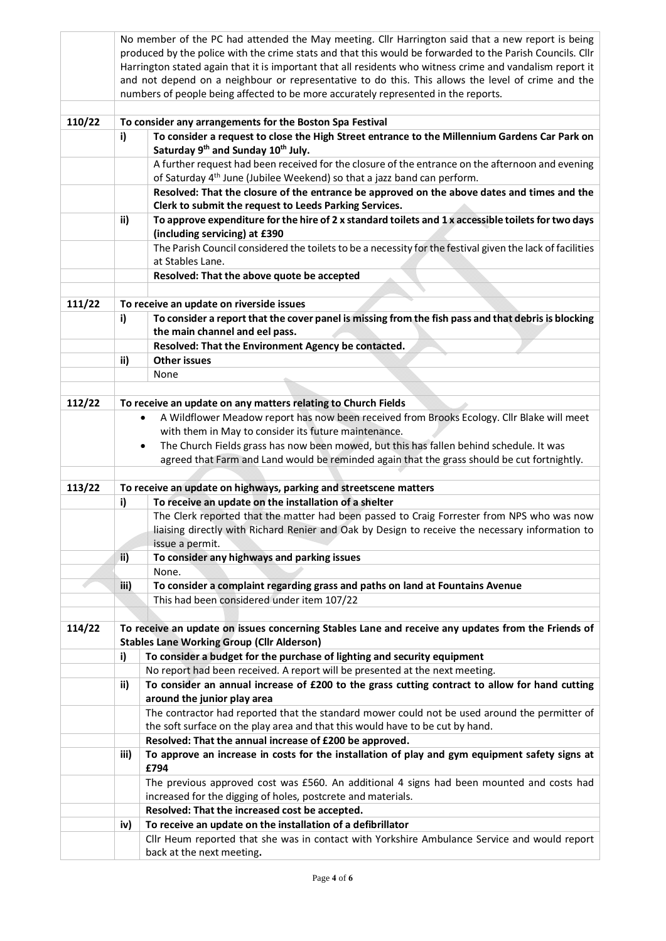|        | No member of the PC had attended the May meeting. Cllr Harrington said that a new report is being                                                                 |                                                                                                           |  |  |  |
|--------|-------------------------------------------------------------------------------------------------------------------------------------------------------------------|-----------------------------------------------------------------------------------------------------------|--|--|--|
|        | produced by the police with the crime stats and that this would be forwarded to the Parish Councils. Cllr                                                         |                                                                                                           |  |  |  |
|        | Harrington stated again that it is important that all residents who witness crime and vandalism report it                                                         |                                                                                                           |  |  |  |
|        | and not depend on a neighbour or representative to do this. This allows the level of crime and the                                                                |                                                                                                           |  |  |  |
|        | numbers of people being affected to be more accurately represented in the reports.                                                                                |                                                                                                           |  |  |  |
|        |                                                                                                                                                                   |                                                                                                           |  |  |  |
| 110/22 |                                                                                                                                                                   | To consider any arrangements for the Boston Spa Festival                                                  |  |  |  |
|        | To consider a request to close the High Street entrance to the Millennium Gardens Car Park on<br>i)<br>Saturday 9 <sup>th</sup> and Sunday 10 <sup>th</sup> July. |                                                                                                           |  |  |  |
|        | A further request had been received for the closure of the entrance on the afternoon and evening                                                                  |                                                                                                           |  |  |  |
|        | of Saturday 4 <sup>th</sup> June (Jubilee Weekend) so that a jazz band can perform.                                                                               |                                                                                                           |  |  |  |
|        | Resolved: That the closure of the entrance be approved on the above dates and times and the<br>Clerk to submit the request to Leeds Parking Services.             |                                                                                                           |  |  |  |
|        | To approve expenditure for the hire of 2 x standard toilets and $1x$ accessible toilets for two days<br>ii)                                                       |                                                                                                           |  |  |  |
|        |                                                                                                                                                                   | (including servicing) at £390                                                                             |  |  |  |
|        |                                                                                                                                                                   | The Parish Council considered the toilets to be a necessity for the festival given the lack of facilities |  |  |  |
|        |                                                                                                                                                                   | at Stables Lane.                                                                                          |  |  |  |
|        |                                                                                                                                                                   | Resolved: That the above quote be accepted                                                                |  |  |  |
|        |                                                                                                                                                                   |                                                                                                           |  |  |  |
| 111/22 |                                                                                                                                                                   | To receive an update on riverside issues                                                                  |  |  |  |
|        | i)                                                                                                                                                                | To consider a report that the cover panel is missing from the fish pass and that debris is blocking       |  |  |  |
|        |                                                                                                                                                                   | the main channel and eel pass.                                                                            |  |  |  |
|        | Resolved: That the Environment Agency be contacted.                                                                                                               |                                                                                                           |  |  |  |
|        | ii)                                                                                                                                                               | <b>Other issues</b>                                                                                       |  |  |  |
|        |                                                                                                                                                                   | None                                                                                                      |  |  |  |
|        |                                                                                                                                                                   |                                                                                                           |  |  |  |
| 112/22 |                                                                                                                                                                   | To receive an update on any matters relating to Church Fields                                             |  |  |  |
|        |                                                                                                                                                                   | A Wildflower Meadow report has now been received from Brooks Ecology. Cllr Blake will meet<br>$\bullet$   |  |  |  |
|        |                                                                                                                                                                   | with them in May to consider its future maintenance.                                                      |  |  |  |
|        | The Church Fields grass has now been mowed, but this has fallen behind schedule. It was<br>$\bullet$                                                              |                                                                                                           |  |  |  |
|        |                                                                                                                                                                   | agreed that Farm and Land would be reminded again that the grass should be cut fortnightly.               |  |  |  |
| 113/22 |                                                                                                                                                                   |                                                                                                           |  |  |  |
|        | To receive an update on highways, parking and streetscene matters<br>To receive an update on the installation of a shelter<br>i)                                  |                                                                                                           |  |  |  |
|        |                                                                                                                                                                   | The Clerk reported that the matter had been passed to Craig Forrester from NPS who was now                |  |  |  |
|        |                                                                                                                                                                   | liaising directly with Richard Renier and Oak by Design to receive the necessary information to           |  |  |  |
|        |                                                                                                                                                                   | issue a permit.                                                                                           |  |  |  |
|        | ii)                                                                                                                                                               | To consider any highways and parking issues                                                               |  |  |  |
|        |                                                                                                                                                                   | None.                                                                                                     |  |  |  |
|        | iii)                                                                                                                                                              | To consider a complaint regarding grass and paths on land at Fountains Avenue                             |  |  |  |
|        |                                                                                                                                                                   | This had been considered under item 107/22                                                                |  |  |  |
|        |                                                                                                                                                                   |                                                                                                           |  |  |  |
| 114/22 |                                                                                                                                                                   | To receive an update on issues concerning Stables Lane and receive any updates from the Friends of        |  |  |  |
|        |                                                                                                                                                                   | <b>Stables Lane Working Group (Cllr Alderson)</b>                                                         |  |  |  |
|        | i)                                                                                                                                                                | To consider a budget for the purchase of lighting and security equipment                                  |  |  |  |
|        |                                                                                                                                                                   | No report had been received. A report will be presented at the next meeting.                              |  |  |  |
|        | ii)                                                                                                                                                               | To consider an annual increase of £200 to the grass cutting contract to allow for hand cutting            |  |  |  |
|        |                                                                                                                                                                   | around the junior play area                                                                               |  |  |  |
|        |                                                                                                                                                                   | The contractor had reported that the standard mower could not be used around the permitter of             |  |  |  |
|        |                                                                                                                                                                   | the soft surface on the play area and that this would have to be cut by hand.                             |  |  |  |
|        |                                                                                                                                                                   | Resolved: That the annual increase of £200 be approved.                                                   |  |  |  |
|        | iii)                                                                                                                                                              | To approve an increase in costs for the installation of play and gym equipment safety signs at<br>£794    |  |  |  |
|        |                                                                                                                                                                   | The previous approved cost was £560. An additional 4 signs had been mounted and costs had                 |  |  |  |
|        |                                                                                                                                                                   | increased for the digging of holes, postcrete and materials.                                              |  |  |  |
|        |                                                                                                                                                                   | Resolved: That the increased cost be accepted.                                                            |  |  |  |
|        | iv)                                                                                                                                                               | To receive an update on the installation of a defibrillator                                               |  |  |  |
|        | Cllr Heum reported that she was in contact with Yorkshire Ambulance Service and would report                                                                      |                                                                                                           |  |  |  |
|        |                                                                                                                                                                   | back at the next meeting.                                                                                 |  |  |  |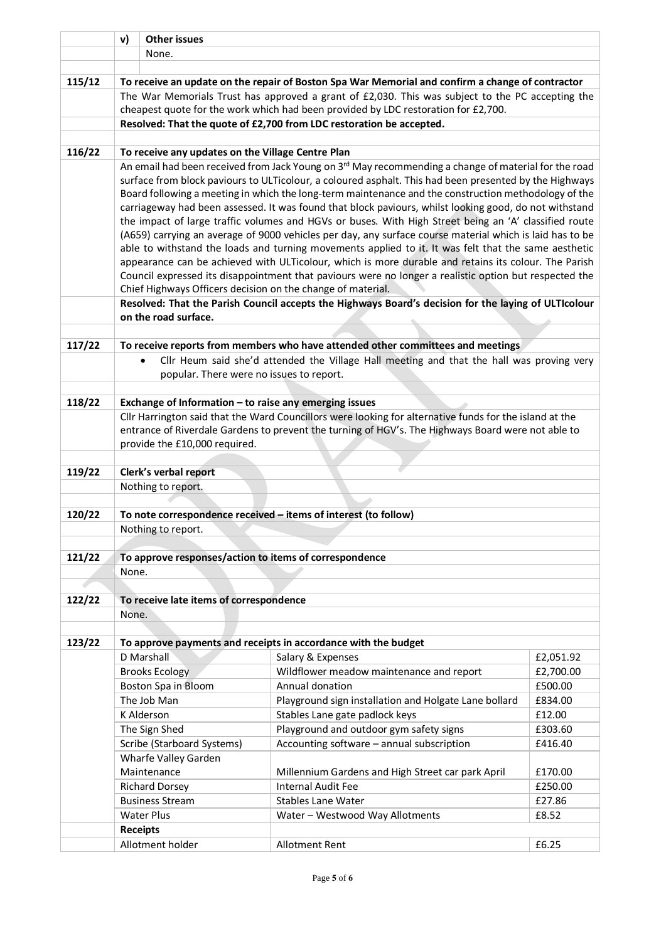|        | v)                                                                                                               | <b>Other issues</b>                                                                              |                                                                                                                                                                                                                  |                 |  |
|--------|------------------------------------------------------------------------------------------------------------------|--------------------------------------------------------------------------------------------------|------------------------------------------------------------------------------------------------------------------------------------------------------------------------------------------------------------------|-----------------|--|
|        | None.                                                                                                            |                                                                                                  |                                                                                                                                                                                                                  |                 |  |
|        |                                                                                                                  |                                                                                                  |                                                                                                                                                                                                                  |                 |  |
| 115/12 | To receive an update on the repair of Boston Spa War Memorial and confirm a change of contractor                 |                                                                                                  |                                                                                                                                                                                                                  |                 |  |
|        |                                                                                                                  | The War Memorials Trust has approved a grant of £2,030. This was subject to the PC accepting the |                                                                                                                                                                                                                  |                 |  |
|        | cheapest quote for the work which had been provided by LDC restoration for £2,700.                               |                                                                                                  |                                                                                                                                                                                                                  |                 |  |
|        | Resolved: That the quote of £2,700 from LDC restoration be accepted.                                             |                                                                                                  |                                                                                                                                                                                                                  |                 |  |
|        |                                                                                                                  |                                                                                                  |                                                                                                                                                                                                                  |                 |  |
| 116/22 |                                                                                                                  | To receive any updates on the Village Centre Plan                                                |                                                                                                                                                                                                                  |                 |  |
|        | An email had been received from Jack Young on 3 <sup>rd</sup> May recommending a change of material for the road |                                                                                                  |                                                                                                                                                                                                                  |                 |  |
|        | surface from block paviours to ULTicolour, a coloured asphalt. This had been presented by the Highways           |                                                                                                  |                                                                                                                                                                                                                  |                 |  |
|        |                                                                                                                  |                                                                                                  | Board following a meeting in which the long-term maintenance and the construction methodology of the                                                                                                             |                 |  |
|        | carriageway had been assessed. It was found that block paviours, whilst looking good, do not withstand           |                                                                                                  |                                                                                                                                                                                                                  |                 |  |
|        |                                                                                                                  |                                                                                                  | the impact of large traffic volumes and HGVs or buses. With High Street being an 'A' classified route                                                                                                            |                 |  |
|        |                                                                                                                  |                                                                                                  | (A659) carrying an average of 9000 vehicles per day, any surface course material which is laid has to be<br>able to withstand the loads and turning movements applied to it. It was felt that the same aesthetic |                 |  |
|        |                                                                                                                  |                                                                                                  | appearance can be achieved with ULTicolour, which is more durable and retains its colour. The Parish                                                                                                             |                 |  |
|        |                                                                                                                  |                                                                                                  | Council expressed its disappointment that paviours were no longer a realistic option but respected the                                                                                                           |                 |  |
|        |                                                                                                                  | Chief Highways Officers decision on the change of material.                                      |                                                                                                                                                                                                                  |                 |  |
|        |                                                                                                                  |                                                                                                  | Resolved: That the Parish Council accepts the Highways Board's decision for the laying of ULTIcolour                                                                                                             |                 |  |
|        |                                                                                                                  | on the road surface.                                                                             |                                                                                                                                                                                                                  |                 |  |
|        |                                                                                                                  |                                                                                                  |                                                                                                                                                                                                                  |                 |  |
| 117/22 |                                                                                                                  |                                                                                                  | To receive reports from members who have attended other committees and meetings                                                                                                                                  |                 |  |
|        | Cllr Heum said she'd attended the Village Hall meeting and that the hall was proving very                        |                                                                                                  |                                                                                                                                                                                                                  |                 |  |
|        | popular. There were no issues to report.                                                                         |                                                                                                  |                                                                                                                                                                                                                  |                 |  |
|        |                                                                                                                  |                                                                                                  |                                                                                                                                                                                                                  |                 |  |
| 118/22 |                                                                                                                  | Exchange of Information - to raise any emerging issues                                           |                                                                                                                                                                                                                  |                 |  |
|        | Cllr Harrington said that the Ward Councillors were looking for alternative funds for the island at the          |                                                                                                  |                                                                                                                                                                                                                  |                 |  |
|        | entrance of Riverdale Gardens to prevent the turning of HGV's. The Highways Board were not able to               |                                                                                                  |                                                                                                                                                                                                                  |                 |  |
|        | provide the £10,000 required.                                                                                    |                                                                                                  |                                                                                                                                                                                                                  |                 |  |
|        |                                                                                                                  |                                                                                                  |                                                                                                                                                                                                                  |                 |  |
| 119/22 | Clerk's verbal report                                                                                            |                                                                                                  |                                                                                                                                                                                                                  |                 |  |
|        | Nothing to report.                                                                                               |                                                                                                  |                                                                                                                                                                                                                  |                 |  |
| 120/22 | To note correspondence received - items of interest (to follow)                                                  |                                                                                                  |                                                                                                                                                                                                                  |                 |  |
|        | Nothing to report.                                                                                               |                                                                                                  |                                                                                                                                                                                                                  |                 |  |
|        |                                                                                                                  |                                                                                                  |                                                                                                                                                                                                                  |                 |  |
| 121/22 | To approve responses/action to items of correspondence                                                           |                                                                                                  |                                                                                                                                                                                                                  |                 |  |
|        | None.                                                                                                            |                                                                                                  |                                                                                                                                                                                                                  |                 |  |
|        |                                                                                                                  |                                                                                                  |                                                                                                                                                                                                                  |                 |  |
| 122/22 |                                                                                                                  | To receive late items of correspondence                                                          |                                                                                                                                                                                                                  |                 |  |
|        | None.                                                                                                            |                                                                                                  |                                                                                                                                                                                                                  |                 |  |
|        |                                                                                                                  |                                                                                                  |                                                                                                                                                                                                                  |                 |  |
| 123/22 |                                                                                                                  |                                                                                                  | To approve payments and receipts in accordance with the budget                                                                                                                                                   |                 |  |
|        |                                                                                                                  | D Marshall                                                                                       | Salary & Expenses                                                                                                                                                                                                | £2,051.92       |  |
|        |                                                                                                                  | <b>Brooks Ecology</b>                                                                            | Wildflower meadow maintenance and report                                                                                                                                                                         | £2,700.00       |  |
|        |                                                                                                                  | Boston Spa in Bloom                                                                              | Annual donation                                                                                                                                                                                                  | £500.00         |  |
|        |                                                                                                                  | The Job Man                                                                                      | Playground sign installation and Holgate Lane bollard                                                                                                                                                            | £834.00         |  |
|        |                                                                                                                  | K Alderson                                                                                       | Stables Lane gate padlock keys                                                                                                                                                                                   | £12.00          |  |
|        |                                                                                                                  | The Sign Shed                                                                                    | Playground and outdoor gym safety signs                                                                                                                                                                          | £303.60         |  |
|        |                                                                                                                  | Scribe (Starboard Systems)                                                                       | Accounting software - annual subscription                                                                                                                                                                        | £416.40         |  |
|        |                                                                                                                  | Wharfe Valley Garden                                                                             |                                                                                                                                                                                                                  |                 |  |
|        |                                                                                                                  | Maintenance                                                                                      | Millennium Gardens and High Street car park April                                                                                                                                                                | £170.00         |  |
|        |                                                                                                                  | <b>Richard Dorsey</b>                                                                            | <b>Internal Audit Fee</b>                                                                                                                                                                                        | £250.00         |  |
|        |                                                                                                                  | <b>Business Stream</b><br><b>Water Plus</b>                                                      | <b>Stables Lane Water</b>                                                                                                                                                                                        | £27.86<br>£8.52 |  |
|        |                                                                                                                  | <b>Receipts</b>                                                                                  | Water - Westwood Way Allotments                                                                                                                                                                                  |                 |  |
|        |                                                                                                                  | Allotment holder                                                                                 | <b>Allotment Rent</b>                                                                                                                                                                                            | £6.25           |  |
|        |                                                                                                                  |                                                                                                  |                                                                                                                                                                                                                  |                 |  |